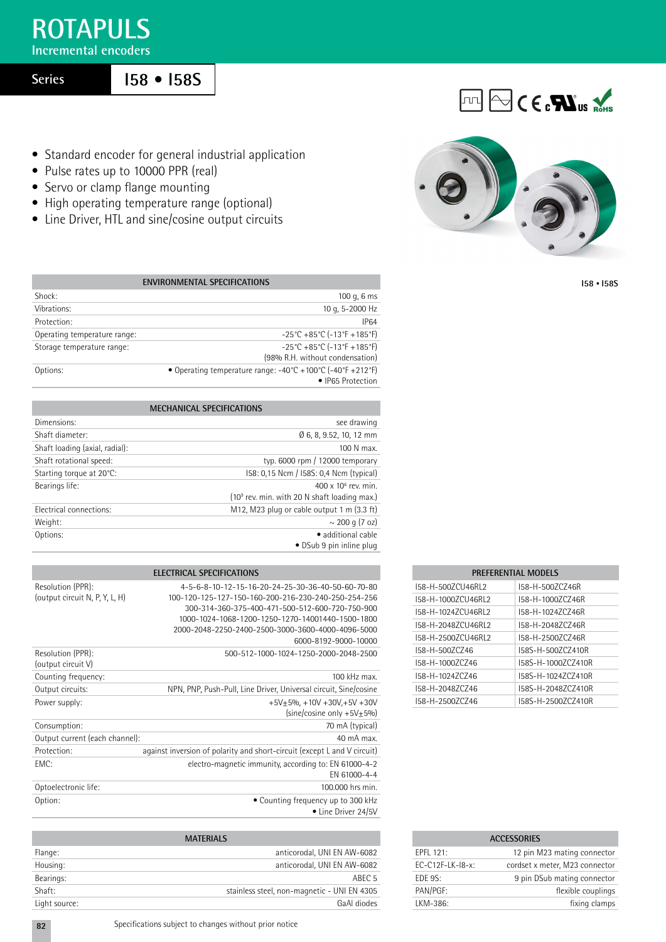# **ROTAPULS**

**Incremental encoders**

**Series**

# **I58 • I58S**

- Standard encoder for general industrial application
- Pulse rates up to 10000 PPR (real)
- Servo or clamp flange mounting
- High operating temperature range (optional)
- Line Driver, HTL and sine/cosine output circuits



 $\boxed{11}$   $\boxed{ }$   $\boxed{ }$   $\boxed{ }$   $\boxed{ }$   $\boxed{ }$   $\boxed{ }$   $\boxed{ }$   $\boxed{ }$   $\boxed{ }$   $\boxed{ }$   $\boxed{ }$   $\boxed{ }$   $\boxed{ }$   $\boxed{ }$   $\boxed{ }$   $\boxed{ }$   $\boxed{ }$   $\boxed{ }$   $\boxed{ }$   $\boxed{ }$   $\boxed{ }$   $\boxed{ }$   $\boxed{ }$   $\boxed{ }$   $\boxed{ }$   $\boxed{ }$   $\boxed{ }$   $\boxed{ }$   $\boxed{ }$   $\boxed{ }$   $\$ 

**I58 • I58S**

| <b>ENVIRONMENTAL SPECIFICATIONS</b> |                                                                                                                     |  |  |  |  |  |
|-------------------------------------|---------------------------------------------------------------------------------------------------------------------|--|--|--|--|--|
| Shock:                              | 100 g, $6 \text{ ms}$                                                                                               |  |  |  |  |  |
| Vibrations:                         | 10 g, 5-2000 Hz                                                                                                     |  |  |  |  |  |
| Protection:                         | <b>IP64</b>                                                                                                         |  |  |  |  |  |
| Operating temperature range:        | $-25^{\circ}$ C +85 $^{\circ}$ C (-13 $^{\circ}$ F +185 $^{\circ}$ F)                                               |  |  |  |  |  |
| Storage temperature range:          | $-25^{\circ}$ C +85 $^{\circ}$ C (-13 $^{\circ}$ F +185 $^{\circ}$ F)<br>(98% R.H. without condensation)            |  |  |  |  |  |
| Options:                            | • Operating temperature range: $-40^{\circ}C + 100^{\circ}C$ ( $-40^{\circ}F + 212^{\circ}F$ )<br>• IP65 Protection |  |  |  |  |  |

| <b>MECHANICAL SPECIFICATIONS</b> |                                                |  |  |  |  |
|----------------------------------|------------------------------------------------|--|--|--|--|
| Dimensions:                      | see drawing                                    |  |  |  |  |
| Shaft diameter:                  | Ø 6, 8, 9.52, 10, 12 mm                        |  |  |  |  |
| Shaft loading (axial, radial):   | 100 N max.                                     |  |  |  |  |
| Shaft rotational speed:          | typ. 6000 rpm $/$ 12000 temporary              |  |  |  |  |
| Starting torque at 20°C:         | 158: 0,15 Ncm / 158S: 0,4 Ncm (typical)        |  |  |  |  |
| Bearings life:                   | $400 \times 10^6$ rev. min.                    |  |  |  |  |
|                                  | $(109$ rev. min. with 20 N shaft loading max.) |  |  |  |  |
| Electrical connections:          | M12, M23 plug or cable output 1 m (3.3 ft)     |  |  |  |  |
| Weight:                          | $\sim$ 200 g (7 oz)                            |  |  |  |  |
| Options:                         | · additional cable                             |  |  |  |  |
|                                  | • DSub 9 pin inline plug                       |  |  |  |  |

| ELECTRICAL SPECIFICATIONS                           |                                                                                                                                                                                                                                                                                              |  |  |  |  |  |
|-----------------------------------------------------|----------------------------------------------------------------------------------------------------------------------------------------------------------------------------------------------------------------------------------------------------------------------------------------------|--|--|--|--|--|
| Resolution (PPR):<br>(output circuit N, P, Y, L, H) | 4-5-6-8-10-12-15-16-20-24-25-30-36-40-50-60-70-80<br>100-120-125-127-150-160-200-216-230-240-250-254-256<br>300-314-360-375-400-471-500-512-600-720-750-900<br>1000-1024-1068-1200-1250-1270-14001440-1500-1800<br>2000-2048-2250-2400-2500-3000-3600-4000-4096-5000<br>6000-8192-9000-10000 |  |  |  |  |  |
| Resolution (PPR):<br>(output circuit V)             | 500-512-1000-1024-1250-2000-2048-2500                                                                                                                                                                                                                                                        |  |  |  |  |  |
| Counting frequency:                                 | $100$ kHz max.                                                                                                                                                                                                                                                                               |  |  |  |  |  |
| Output circuits:                                    | NPN, PNP, Push-Pull, Line Driver, Universal circuit, Sine/cosine                                                                                                                                                                                                                             |  |  |  |  |  |
| Power supply:                                       | $+5V+5% +10V +30V+5V +30V$<br>(sine/cosine only $+5V+5%$ )                                                                                                                                                                                                                                   |  |  |  |  |  |
| Consumption:                                        | 70 mA (typical)                                                                                                                                                                                                                                                                              |  |  |  |  |  |
| Output current (each channel):                      | 40 mA max.                                                                                                                                                                                                                                                                                   |  |  |  |  |  |
| Protection:                                         | against inversion of polarity and short-circuit (except L and V circuit)                                                                                                                                                                                                                     |  |  |  |  |  |
| EMC:                                                | electro-magnetic immunity, according to: EN 61000-4-2<br>FN 61000-4-4                                                                                                                                                                                                                        |  |  |  |  |  |
| Optoelectronic life:                                | 100,000 hrs min.                                                                                                                                                                                                                                                                             |  |  |  |  |  |
| Option:                                             | • Counting frequency up to 300 kHz<br>• Line Driver 24/5V                                                                                                                                                                                                                                    |  |  |  |  |  |

| <b>MATERIALS</b> |                                             |  |  |  |  |  |
|------------------|---------------------------------------------|--|--|--|--|--|
| Flange:          | anticorodal, UNI EN AW-6082                 |  |  |  |  |  |
| Housing:         | anticorodal, UNI EN AW-6082                 |  |  |  |  |  |
| Bearings:        | ABEC <sub>5</sub>                           |  |  |  |  |  |
| Shaft:           | stainless steel, non-magnetic - UNI EN 4305 |  |  |  |  |  |
| Light source:    | GaAI diodes                                 |  |  |  |  |  |

| <u>ENLI ENENTIAL MUULLO</u> |                    |  |  |  |  |  |  |  |
|-----------------------------|--------------------|--|--|--|--|--|--|--|
| 158-H-5007CU46RL2           | 158-H-500ZCZ46R    |  |  |  |  |  |  |  |
| 158-H-1000ZCU46RL2          | 158-H-10007C746R   |  |  |  |  |  |  |  |
| 158-H-10247CU46RL2          | 158-H-10247C746R   |  |  |  |  |  |  |  |
| I58-H-20487CU46RL2          | I58-H-20487C746R   |  |  |  |  |  |  |  |
| I58-H-25007CU46RL2          | I58-H-25007C746R   |  |  |  |  |  |  |  |
| I58-H-5007C746              | 158S-H-5007C7410R  |  |  |  |  |  |  |  |
| I58-H-10007C746             | 158S-H-10007C7410R |  |  |  |  |  |  |  |
| I58-H-10247C746             | I58S-H-10247C7410R |  |  |  |  |  |  |  |
| I58-H-20487C746             | I58S-H-20487C7410R |  |  |  |  |  |  |  |
| I58-H-2500ZC746             | I58S-H-25007C7410R |  |  |  |  |  |  |  |
|                             |                    |  |  |  |  |  |  |  |

**PREFERENTIAL MODELS**

| <b>ACCESSORIES</b> |                                |  |  |  |  |
|--------------------|--------------------------------|--|--|--|--|
| FPFI $121$         | 12 pin M23 mating connector    |  |  |  |  |
| $FC-C12F-LK-18-x$  | cordset x meter, M23 connector |  |  |  |  |
| FDF 9S:            | 9 pin DSub mating connector    |  |  |  |  |
| PAN/PGF:           | flexible couplings             |  |  |  |  |
| LKM-386:           | fixing clamps                  |  |  |  |  |